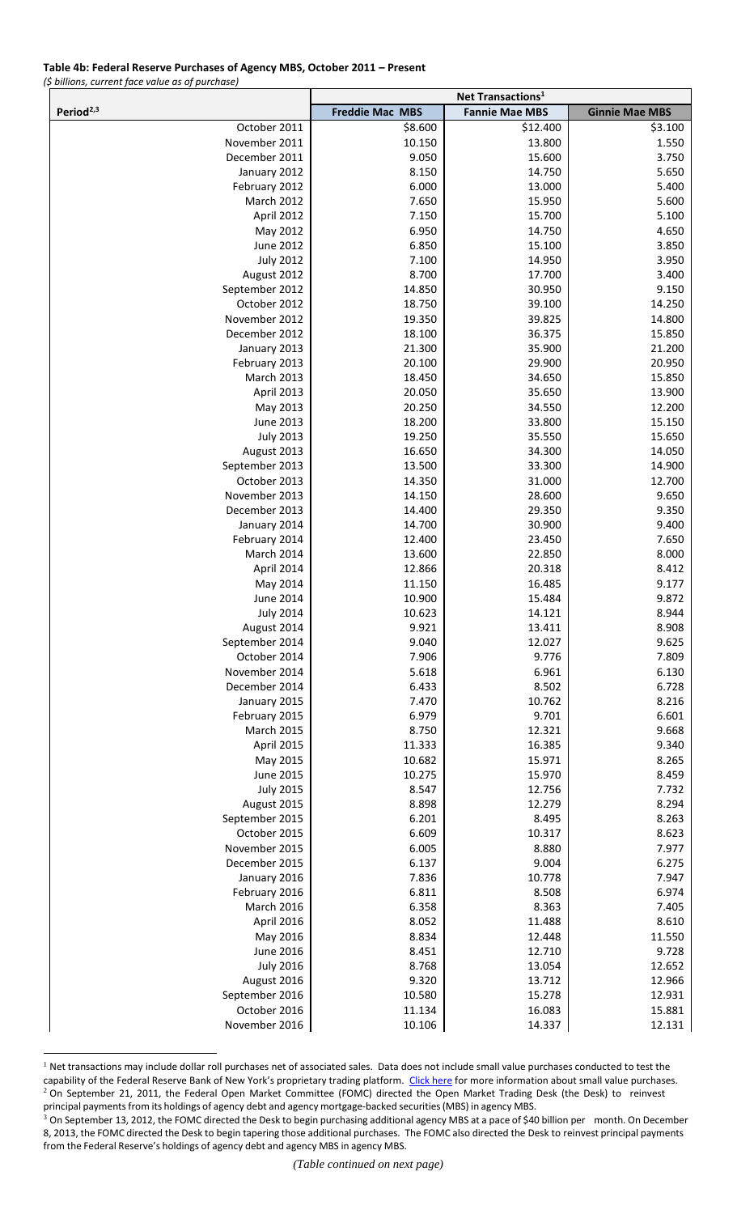## **Table 4b: Federal Reserve Purchases of Agency MBS, October 2011 – Present**

*(\$ billions, current face value as of purchase)*

 $\overline{a}$ 

|                                 | Net Transactions <sup>1</sup> |                       |                       |
|---------------------------------|-------------------------------|-----------------------|-----------------------|
| Period <sup>2,3</sup>           | <b>Freddie Mac MBS</b>        | <b>Fannie Mae MBS</b> | <b>Ginnie Mae MBS</b> |
| October 2011                    | \$8.600                       | \$12.400              | \$3.100               |
| November 2011                   | 10.150                        | 13.800                | 1.550                 |
| December 2011                   | 9.050                         | 15.600                | 3.750                 |
| January 2012                    | 8.150                         | 14.750                | 5.650                 |
| February 2012                   | 6.000                         | 13.000                | 5.400                 |
| March 2012                      | 7.650                         | 15.950                | 5.600                 |
| April 2012                      | 7.150                         | 15.700                | 5.100                 |
| May 2012                        | 6.950                         | 14.750                | 4.650                 |
| June 2012                       | 6.850                         | 15.100                | 3.850                 |
| <b>July 2012</b>                | 7.100<br>8.700                | 14.950<br>17.700      | 3.950<br>3.400        |
| August 2012<br>September 2012   | 14.850                        | 30.950                | 9.150                 |
| October 2012                    | 18.750                        | 39.100                | 14.250                |
| November 2012                   | 19.350                        | 39.825                | 14.800                |
| December 2012                   | 18.100                        | 36.375                | 15.850                |
| January 2013                    | 21.300                        | 35.900                | 21.200                |
| February 2013                   | 20.100                        | 29.900                | 20.950                |
| <b>March 2013</b>               | 18.450                        | 34.650                | 15.850                |
| April 2013                      | 20.050                        | 35.650                | 13.900                |
| May 2013                        | 20.250                        | 34.550                | 12.200                |
| <b>June 2013</b>                | 18.200                        | 33.800                | 15.150                |
| <b>July 2013</b>                | 19.250                        | 35.550                | 15.650                |
| August 2013                     | 16.650                        | 34.300                | 14.050                |
| September 2013                  | 13.500                        | 33.300                | 14.900                |
| October 2013                    | 14.350                        | 31.000                | 12.700                |
| November 2013                   | 14.150                        | 28.600                | 9.650                 |
| December 2013                   | 14.400                        | 29.350                | 9.350                 |
| January 2014                    | 14.700                        | 30.900                | 9.400                 |
| February 2014                   | 12.400                        | 23.450                | 7.650                 |
| March 2014                      | 13.600                        | 22.850                | 8.000                 |
| April 2014<br>May 2014          | 12.866<br>11.150              | 20.318<br>16.485      | 8.412<br>9.177        |
| <b>June 2014</b>                | 10.900                        | 15.484                | 9.872                 |
| <b>July 2014</b>                | 10.623                        | 14.121                | 8.944                 |
| August 2014                     | 9.921                         | 13.411                | 8.908                 |
| September 2014                  | 9.040                         | 12.027                | 9.625                 |
| October 2014                    | 7.906                         | 9.776                 | 7.809                 |
| November 2014                   | 5.618                         | 6.961                 | 6.130                 |
| December 2014                   | 6.433                         | 8.502                 | 6.728                 |
| January 2015                    | 7.470                         | 10.762                | 8.216                 |
| February 2015                   | 6.979                         | 9.701                 | 6.601                 |
| <b>March 2015</b>               | 8.750                         | 12.321                | 9.668                 |
| April 2015                      | 11.333                        | 16.385                | 9.340                 |
| May 2015                        | 10.682                        | 15.971                | 8.265                 |
| June 2015                       | 10.275<br>8.547               | 15.970                | 8.459                 |
| <b>July 2015</b><br>August 2015 | 8.898                         | 12.756<br>12.279      | 7.732<br>8.294        |
| September 2015                  | 6.201                         | 8.495                 | 8.263                 |
| October 2015                    | 6.609                         | 10.317                | 8.623                 |
| November 2015                   | 6.005                         | 8.880                 | 7.977                 |
| December 2015                   | 6.137                         | 9.004                 | 6.275                 |
| January 2016                    | 7.836                         | 10.778                | 7.947                 |
| February 2016                   | 6.811                         | 8.508                 | 6.974                 |
| March 2016                      | 6.358                         | 8.363                 | 7.405                 |
| April 2016                      | 8.052                         | 11.488                | 8.610                 |
| May 2016                        | 8.834                         | 12.448                | 11.550                |
| <b>June 2016</b>                | 8.451                         | 12.710                | 9.728                 |
| <b>July 2016</b>                | 8.768                         | 13.054                | 12.652                |
| August 2016                     | 9.320                         | 13.712                | 12.966                |
| September 2016                  | 10.580                        | 15.278                | 12.931                |
| October 2016                    | 11.134                        | 16.083                | 15.881                |
| November 2016                   | 10.106                        | 14.337                | 12.131                |

 $<sup>1</sup>$  Net transactions may include dollar roll purchases net of associated sales. Data does not include small value purchases conducted to test the</sup> capability of the Federal Reserve Bank of New York's proprietary trading platform. [Click here](http://www.newyorkfed.org/markets/opolicy/operating_policy_131118a.html) for more information about small value purchases. <sup>2</sup> On September 21, 2011, the Federal Open Market Committee (FOMC) directed the Open Market Trading Desk (the Desk) to reinvest principal payments from its holdings of agency debt and agency mortgage-backed securities (MBS) in agency MBS.

<sup>&</sup>lt;sup>3</sup> On September 13, 2012, the FOMC directed the Desk to begin purchasing additional agency MBS at a pace of \$40 billion per month. On December 8, 2013, the FOMC directed the Desk to begin tapering those additional purchases. The FOMC also directed the Desk to reinvest principal payments from the Federal Reserve's holdings of agency debt and agency MBS in agency MBS.